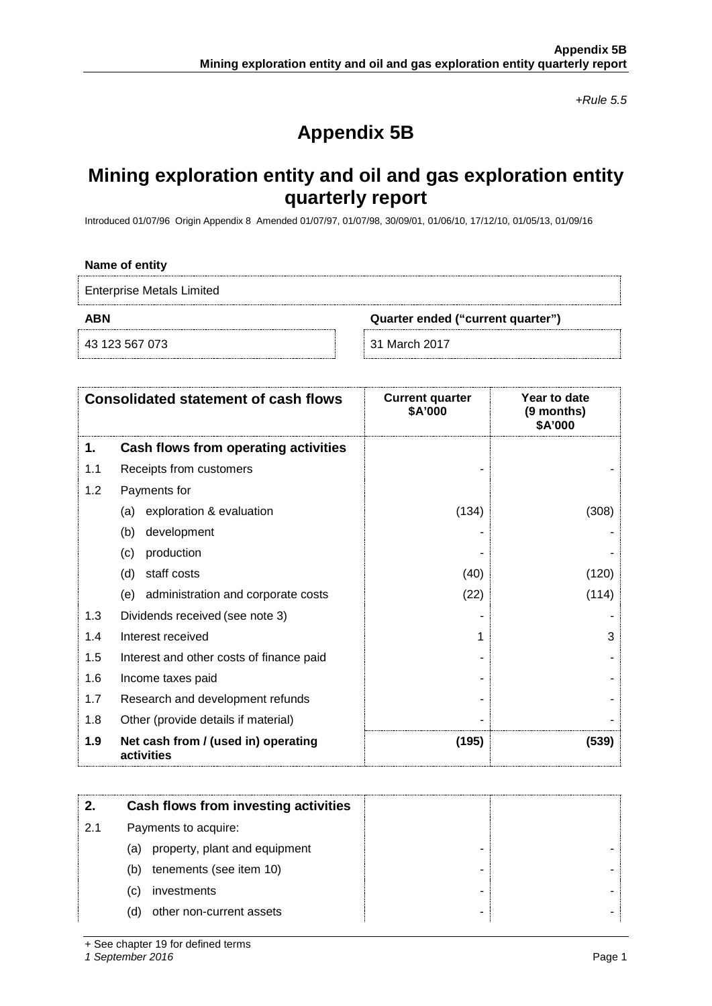*+Rule 5.5*

# **Appendix 5B**

## **Mining exploration entity and oil and gas exploration entity quarterly report**

Introduced 01/07/96 Origin Appendix 8 Amended 01/07/97, 01/07/98, 30/09/01, 01/06/10, 17/12/10, 01/05/13, 01/09/16

#### **Name of entity**

Enterprise Metals Limited

**ABN Quarter ended ("current quarter")**

43 123 567 073 31 March 2017

|     | <b>Consolidated statement of cash flows</b>       | <b>Current quarter</b><br>\$A'000 | Year to date<br>(9 months)<br>\$A'000 |
|-----|---------------------------------------------------|-----------------------------------|---------------------------------------|
| 1.  | Cash flows from operating activities              |                                   |                                       |
| 1.1 | Receipts from customers                           |                                   |                                       |
| 1.2 | Payments for                                      |                                   |                                       |
|     | exploration & evaluation<br>(a)                   | (134)                             | (308)                                 |
|     | development<br>(b)                                |                                   |                                       |
|     | production<br>(c)                                 |                                   |                                       |
|     | staff costs<br>(d)                                | (40)                              | (120)                                 |
|     | administration and corporate costs<br>(e)         | (22)                              | (114)                                 |
| 1.3 | Dividends received (see note 3)                   |                                   |                                       |
| 1.4 | Interest received                                 |                                   | 3                                     |
| 1.5 | Interest and other costs of finance paid          |                                   |                                       |
| 1.6 | Income taxes paid                                 |                                   |                                       |
| 1.7 | Research and development refunds                  |                                   |                                       |
| 1.8 | Other (provide details if material)               |                                   |                                       |
| 1.9 | Net cash from / (used in) operating<br>activities | (195)                             | (539)                                 |

|     | Cash flows from investing activities |  |
|-----|--------------------------------------|--|
| 2.1 | Payments to acquire:                 |  |
|     | property, plant and equipment<br>(a) |  |
|     | tenements (see item 10)<br>(b)       |  |
|     | investments<br>(C)                   |  |
|     | other non-current assets<br>(d)      |  |

+ See chapter 19 for defined terms

*1 September 2016* Page 1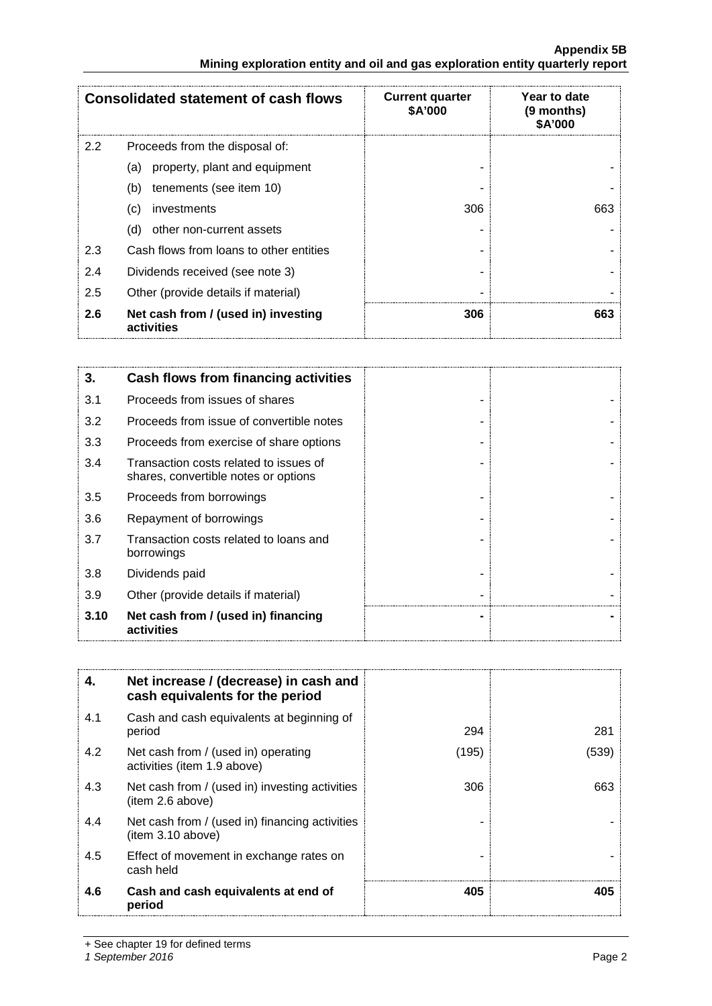## **Appendix 5B Mining exploration entity and oil and gas exploration entity quarterly report**

|               | <b>Consolidated statement of cash flows</b>       | <b>Current quarter</b><br>\$A'000 | Year to date<br>(9 months)<br>\$A'000 |
|---------------|---------------------------------------------------|-----------------------------------|---------------------------------------|
| $2.2^{\circ}$ | Proceeds from the disposal of:                    |                                   |                                       |
|               | property, plant and equipment<br>(a)              |                                   |                                       |
|               | tenements (see item 10)<br>(b)                    |                                   |                                       |
|               | investments<br>(c)                                | 306                               | 663                                   |
|               | (d)<br>other non-current assets                   |                                   |                                       |
| 2.3           | Cash flows from loans to other entities           |                                   |                                       |
| 2.4           | Dividends received (see note 3)                   |                                   |                                       |
| 2.5           | Other (provide details if material)               |                                   |                                       |
| 2.6           | Net cash from / (used in) investing<br>activities | 306                               | 663                                   |

| 3.   | Cash flows from financing activities                                           |  |
|------|--------------------------------------------------------------------------------|--|
| 3.1  | Proceeds from issues of shares                                                 |  |
| 3.2  | Proceeds from issue of convertible notes                                       |  |
| 3.3  | Proceeds from exercise of share options                                        |  |
| 3.4  | Transaction costs related to issues of<br>shares, convertible notes or options |  |
| 3.5  | Proceeds from borrowings                                                       |  |
| 3.6  | Repayment of borrowings                                                        |  |
| 3.7  | Transaction costs related to loans and<br>borrowings                           |  |
| 3.8  | Dividends paid                                                                 |  |
| 3.9  | Other (provide details if material)                                            |  |
| 3.10 | Net cash from / (used in) financing<br>activities                              |  |

| 4.  | Net increase / (decrease) in cash and<br>cash equivalents for the period |       |       |
|-----|--------------------------------------------------------------------------|-------|-------|
| 4.1 | Cash and cash equivalents at beginning of<br>period                      | 294   | 281   |
| 4.2 | Net cash from / (used in) operating<br>activities (item 1.9 above)       | (195) | (539) |
| 4.3 | Net cash from / (used in) investing activities<br>(item 2.6 above)       | 306   | 663   |
| 4.4 | Net cash from / (used in) financing activities<br>item 3.10 above)       |       |       |
| 4.5 | Effect of movement in exchange rates on<br>cash held                     |       |       |
| 4.6 | Cash and cash equivalents at end of<br>period                            | 405   | 405   |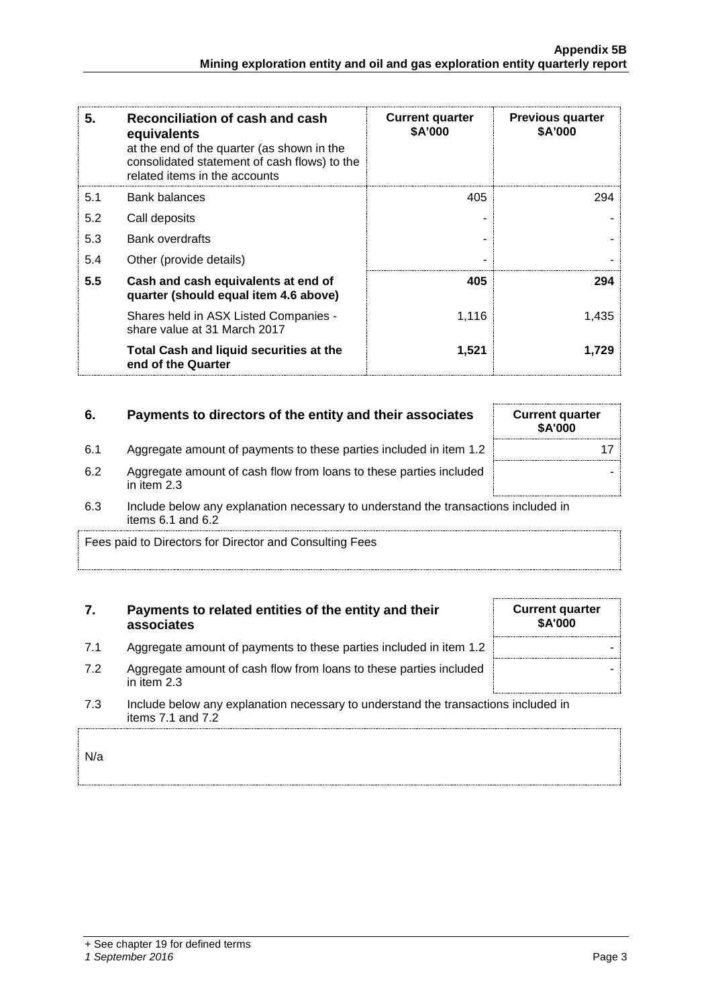| 5.  | Reconciliation of cash and cash<br>equivalents<br>at the end of the quarter (as shown in the<br>consolidated statement of cash flows) to the<br>related items in the accounts | <b>Current quarter</b><br><b>\$A'000</b> | <b>Previous quarter</b><br>\$A'000 |
|-----|-------------------------------------------------------------------------------------------------------------------------------------------------------------------------------|------------------------------------------|------------------------------------|
| 5.1 | Bank balances                                                                                                                                                                 | 405                                      | 294                                |
| 5.2 | Call deposits                                                                                                                                                                 |                                          |                                    |
| 5.3 | <b>Bank overdrafts</b>                                                                                                                                                        |                                          |                                    |
| 5.4 | Other (provide details)                                                                                                                                                       |                                          |                                    |
| 5.5 | Cash and cash equivalents at end of<br>quarter (should equal item 4.6 above)                                                                                                  | 405                                      | 294                                |
|     | Shares held in ASX Listed Companies -<br>share value at 31 March 2017                                                                                                         | 1,116                                    | 1.435                              |
|     | Total Cash and liquid securities at the<br>end of the Quarter                                                                                                                 | 1,521                                    | 1.729                              |

## **6.** Payments to directors of the entity and their associates Current quarter

| 6.1 |  | Aggregate amount of payments to these parties included in item 1.2 |  |
|-----|--|--------------------------------------------------------------------|--|
|-----|--|--------------------------------------------------------------------|--|

- 6.2 Aggregate amount of cash flow from loans to these parties included in item 2.3
- 6.3 Include below any explanation necessary to understand the transactions items 6.1 and 6.2

Fees paid to Directors for Director and Consulting Fees

## **7. Payments to related entities of the entity and their associates**

- 7.1 Aggregate amount of payments to these parties included in item 1.2
- 7.2 Aggregate amount of cash flow from loans to these parties included in item 2.3
- 7.3 Include below any explanation necessary to understand the transactions included in items 7.1 and 7.2

N/a

|  | + See chapter 19 for defined terms |  |  |
|--|------------------------------------|--|--|
|  |                                    |  |  |

## *1 September 2016* Page 3

| \$A'000       |    |
|---------------|----|
|               | 17 |
|               |    |
| s included in |    |

| <b>Current quarter</b><br>\$A'000 |  |
|-----------------------------------|--|
|                                   |  |
|                                   |  |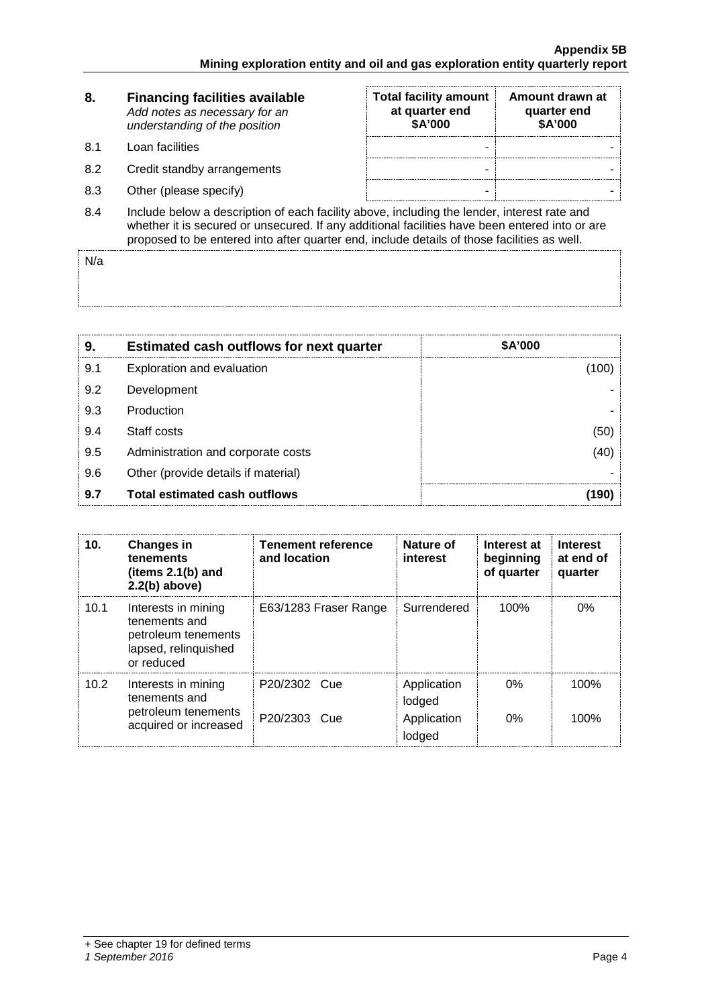| 8.  | <b>Financing facilities available</b><br>Add notes as necessary for an<br>understanding of the position                                                                                                                                                                                      | <b>Total facility amount</b><br>at quarter end<br>\$A'000 | Amount drawn at<br>quarter end<br>\$A'000 |
|-----|----------------------------------------------------------------------------------------------------------------------------------------------------------------------------------------------------------------------------------------------------------------------------------------------|-----------------------------------------------------------|-------------------------------------------|
| 8.1 | Loan facilities                                                                                                                                                                                                                                                                              | -                                                         |                                           |
| 8.2 | Credit standby arrangements                                                                                                                                                                                                                                                                  | -                                                         |                                           |
| 8.3 | Other (please specify)                                                                                                                                                                                                                                                                       | -                                                         |                                           |
| 8.4 | Include below a description of each facility above, including the lender, interest rate and<br>whether it is secured or unsecured. If any additional facilities have been entered into or are<br>proposed to be entered into after quarter end, include details of those facilities as well. |                                                           |                                           |

N/a

| 9   | <b>Estimated cash outflows for next quarter</b> | \$A'000 |
|-----|-------------------------------------------------|---------|
| 9.1 | Exploration and evaluation                      |         |
| 9.2 | Development                                     |         |
| 9.3 | Production                                      |         |
| 9.4 | Staff costs                                     |         |
| 9.5 | Administration and corporate costs              |         |
| 9.6 | Other (provide details if material)             |         |
| 9.7 | <b>Total estimated cash outflows</b>            |         |

| 10.               | <b>Changes in</b><br>tenements<br>(items $2.1(b)$ and<br>$2.2(b)$ above)                          | <b>Tenement reference</b><br>and location | Nature of<br>interest                          | Interest at<br>beginning<br>of quarter | <b>Interest</b><br>at end of<br>quarter |
|-------------------|---------------------------------------------------------------------------------------------------|-------------------------------------------|------------------------------------------------|----------------------------------------|-----------------------------------------|
| 10.1              | Interests in mining<br>tenements and<br>petroleum tenements<br>lapsed, relinquished<br>or reduced | E63/1283 Fraser Range                     | Surrendered                                    | 100%                                   | $0\%$                                   |
| 10.2 <sub>1</sub> | Interests in mining<br>tenements and<br>petroleum tenements<br>acquired or increased              | P20/2302 Cue<br>P20/2303 Cue              | Application<br>lodged<br>Application<br>lodged | $0\%$<br>0%                            | 100%<br>100%                            |